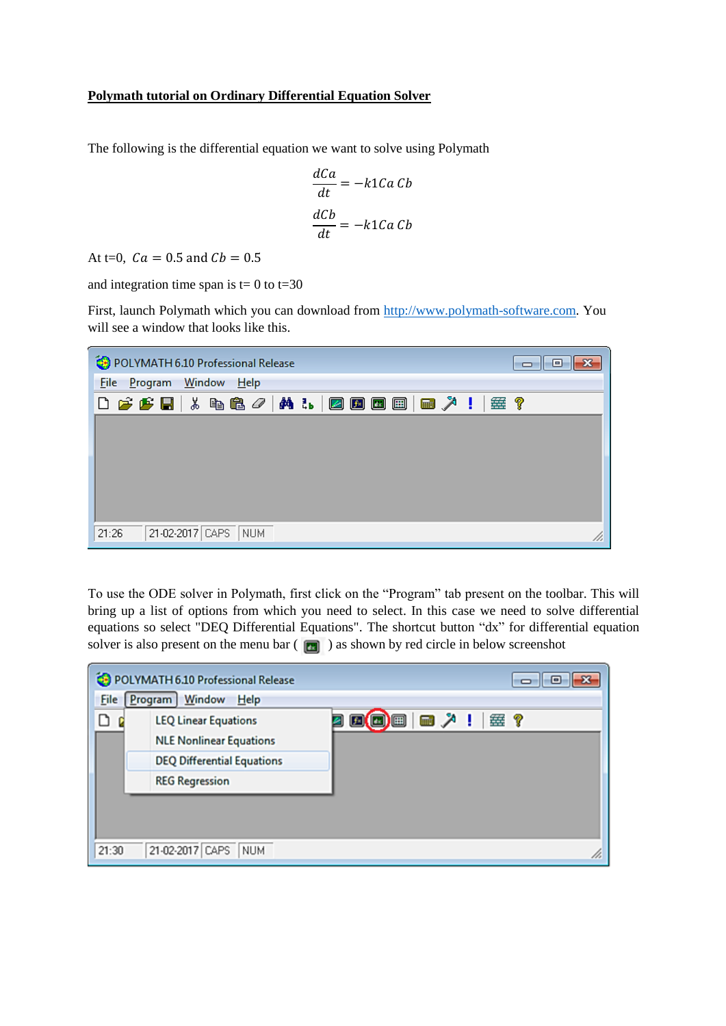## **Polymath tutorial on Ordinary Differential Equation Solver**

The following is the differential equation we want to solve using Polymath

$$
\frac{dCa}{dt} = -k1Ca\;Cb
$$

$$
\frac{dCb}{dt} = -k1Ca\;Cb
$$

At t=0,  $Ca = 0.5$  and  $Cb = 0.5$ 

and integration time span is  $t=0$  to  $t=30$ 

First, launch Polymath which you can download from [http://www.polymath-software.com.](http://www.polymath-software.com/) You will see a window that looks like this.

| POLYMATH 6.10 Professional Release<br>$\overline{\phantom{a}}$ $\overline{\phantom{a}}$<br>⊪-x                                                                                                                                                                                                                                                                                                                                                                                                                                                                                                                                |
|-------------------------------------------------------------------------------------------------------------------------------------------------------------------------------------------------------------------------------------------------------------------------------------------------------------------------------------------------------------------------------------------------------------------------------------------------------------------------------------------------------------------------------------------------------------------------------------------------------------------------------|
| File Program Window Help                                                                                                                                                                                                                                                                                                                                                                                                                                                                                                                                                                                                      |
| $\begin{array}{lll} \multicolumn{3}{l}{{\color{blue}\blacktriangledown}} & \multicolumn{3}{l}{{\color{blue}\blacktriangledown}} & \multicolumn{3}{l}{{\color{blue}\blacktriangledown}} & \multicolumn{3}{l}{{\color{blue}\blacktriangle}} & \multicolumn{3}{l}{\color{blue}\blacktriangle}} & \multicolumn{3}{l}{\color{blue}\blacktriangle}} & \multicolumn{3}{l}{\color{blue}\blacktriangle}} & \multicolumn{3}{l}{\color{blue}\blacktriangle}} & \multicolumn{3}{l}{\color{blue}\blacktriangle}} & \multicolumn{3}{l}{\color{blue}\blacktriangle}} & \multicolumn{3}{l}{\color{blue}\blacktriangle}} & \multicolumn$<br>垂? |
|                                                                                                                                                                                                                                                                                                                                                                                                                                                                                                                                                                                                                               |
|                                                                                                                                                                                                                                                                                                                                                                                                                                                                                                                                                                                                                               |
|                                                                                                                                                                                                                                                                                                                                                                                                                                                                                                                                                                                                                               |
|                                                                                                                                                                                                                                                                                                                                                                                                                                                                                                                                                                                                                               |
|                                                                                                                                                                                                                                                                                                                                                                                                                                                                                                                                                                                                                               |
| 21-02-2017 CAPS<br>21:26<br><b>NUM</b>                                                                                                                                                                                                                                                                                                                                                                                                                                                                                                                                                                                        |

To use the ODE solver in Polymath, first click on the "Program" tab present on the toolbar. This will bring up a list of options from which you need to select. In this case we need to solve differential equations so select "DEQ Differential Equations". The shortcut button "dx" for differential equation solver is also present on the menu bar  $(\Box)$  as shown by red circle in below screenshot

|             | POLYMATH 6.10 Professional Release | o<br>$\Box$         |
|-------------|------------------------------------|---------------------|
| <b>File</b> | Program Window Help                |                     |
|             | <b>LEQ Linear Equations</b>        | (■) ■   ■ 人 !   塞 ? |
|             | <b>NLE Nonlinear Equations</b>     |                     |
|             | <b>DEQ Differential Equations</b>  |                     |
|             | <b>REG Regression</b>              |                     |
|             |                                    |                     |
|             |                                    |                     |
| 21:30       | 21-02-2017 CAPS<br><b>NUM</b>      |                     |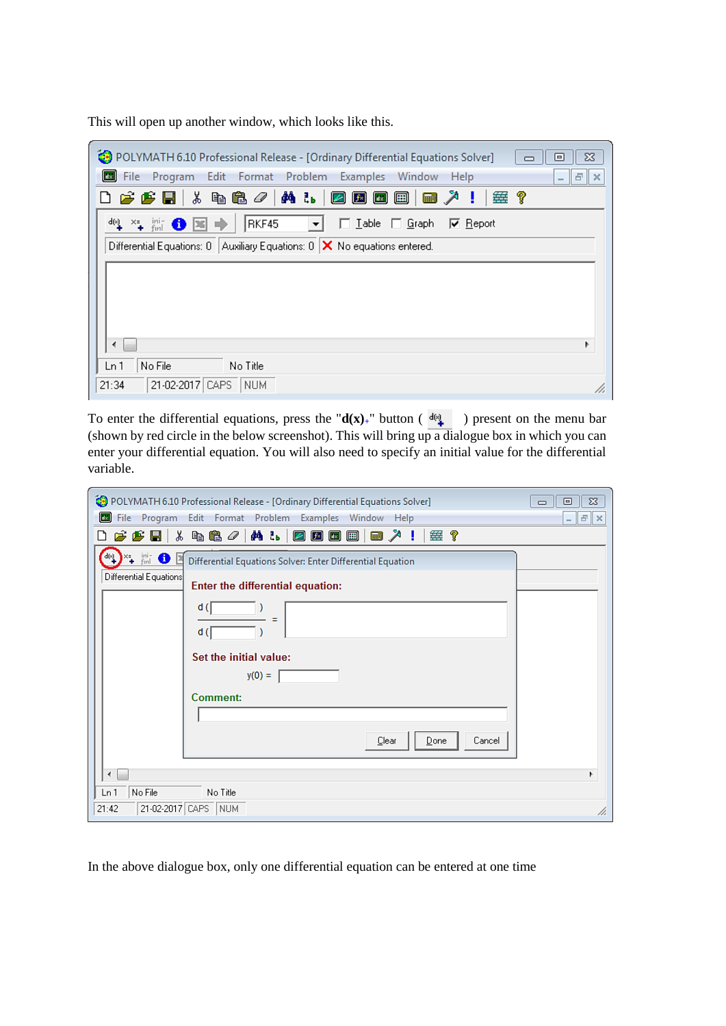This will open up another window, which looks like this.

| POLYMATH 6.10 Professional Release - [Ordinary Differential Equations Solver]<br>▣                                                                                 | $\Sigma$ |
|--------------------------------------------------------------------------------------------------------------------------------------------------------------------|----------|
| <b>EN</b> File<br>Edit<br>Format Problem<br>Examples<br>Window<br>Program<br>Help<br>$\overline{\phantom{a}}$                                                      | 日<br>l x |
| ※ 4b <sup>62</sup> ∥ <mark>ハ 1。 Ø 回 回</mark> 回  <br>靈?<br>りじゅほ<br><b>Final</b><br>- !                                                                              |          |
| $\mathrm{d}[\mathrm{v}] = \times_{\frac{\pi}{4}}$<br>ini-<br>finl<br>RKF45<br>Graph<br>0 E<br>$\left  \cdot \right $<br>$\Box$ Iable<br>$\nabla$ Report<br>n.<br>∍ |          |
| Differential Equations: $0$   Auxiliary Equations: $0$   X No equations entered.                                                                                   |          |
|                                                                                                                                                                    |          |
|                                                                                                                                                                    |          |
|                                                                                                                                                                    |          |
|                                                                                                                                                                    |          |
|                                                                                                                                                                    | Þ        |
| No File<br>No Title<br>Ln 1                                                                                                                                        |          |
| 21-02-2017 CAPS<br>21:34<br>  NUM                                                                                                                                  | /i.      |

To enter the differential equations, press the " $d(x)$ <sup>"</sup> button ( $\frac{d(x)}{dx}$ ) present on the menu bar (shown by red circle in the below screenshot). This will bring up a dialogue box in which you can enter your differential equation. You will also need to specify an initial value for the differential variable.

| POLYMATH 6.10 Professional Release - [Ordinary Differential Equations Solver]                                     | $\Sigma$<br>回<br>$\Box$ |
|-------------------------------------------------------------------------------------------------------------------|-------------------------|
| File<br>Edit Format Problem<br>Examples<br>$\left\  \mathbf{d}_{\mathbf{x}}\right\ $<br>Program<br>Window<br>Help | $   E   \times$         |
| y,<br>48/ALDBB<br>■ 入<br>垂?<br>$\boldsymbol{\beta}$ $\boldsymbol{\beta}$ .<br>η<br>- !                            |                         |
| B ® ™.<br>d(ત્ર્<br>Differential Equations Solver: Enter Differential Equation                                    |                         |
| Differential Equations<br>Enter the differential equation:                                                        |                         |
| d (                                                                                                               |                         |
| d (                                                                                                               |                         |
| Set the initial value:                                                                                            |                         |
| $y(0) =$                                                                                                          |                         |
| <b>Comment:</b>                                                                                                   |                         |
|                                                                                                                   |                         |
| Cancel<br>Clear<br>Done                                                                                           |                         |
| ∢                                                                                                                 |                         |
| No File<br>Ln 1<br>No Title                                                                                       |                         |
| 21-02-2017 CAPS NUM<br>21:42                                                                                      | /i,                     |

In the above dialogue box, only one differential equation can be entered at one time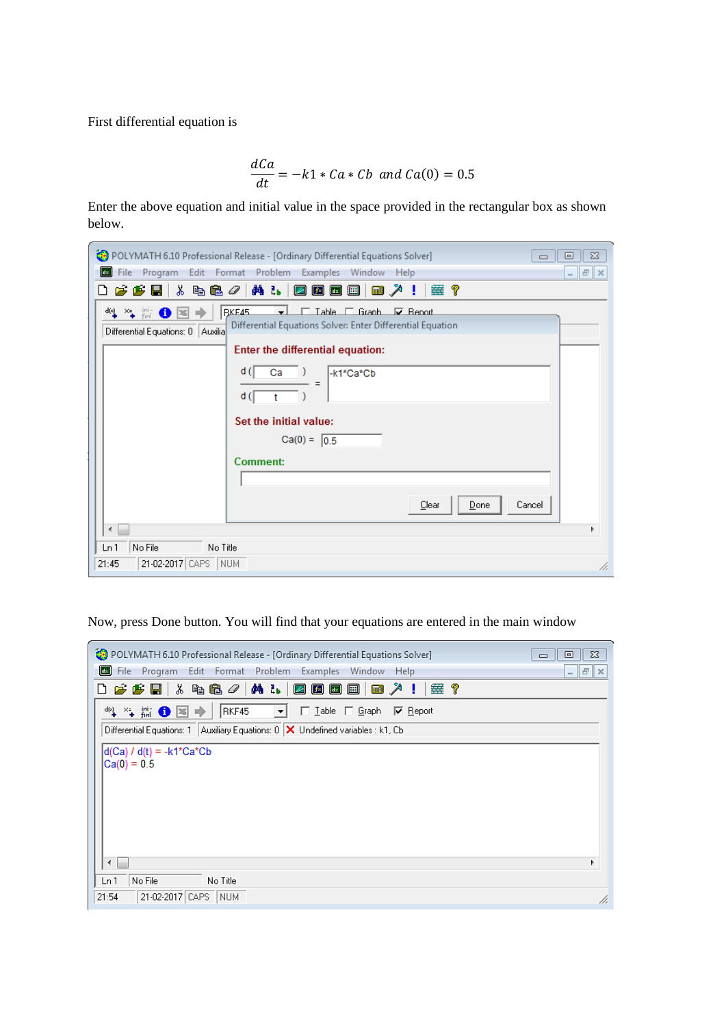First differential equation is

$$
\frac{dCa}{dt} = -k1 \cdot Ca \cdot Cb \text{ and } Ca(0) = 0.5
$$

Enter the above equation and initial value in the space provided in the rectangular box as shown below.

| POLYMATH 6.10 Professional Release - [Ordinary Differential Equations Solver]<br>回<br>$\Box$                                                                                                                                                                                                     | $\Sigma$ |
|--------------------------------------------------------------------------------------------------------------------------------------------------------------------------------------------------------------------------------------------------------------------------------------------------|----------|
| $\  \mathbf{d}_{\mathbb{K}} \ $<br>File Program Edit Format Problem Examples Window Help<br>$ \mathbb{F}$ $\times$                                                                                                                                                                               |          |
| 6 F H   & b & <i>0</i>   A &   Z B B B  <br>■ ↗ !<br>垂?<br>∆                                                                                                                                                                                                                                     |          |
| □ Table □ Granb □ Benot<br>$\frac{d(s)}{s}$ $\times$ $\frac{1}{s}$ $\lim_{s\to 0}$<br><b>RKE45</b><br>┯┆<br>$\bullet$<br>Differential Equations Solver: Enter Differential Equation<br>Differential Equations: 0   Auxilia <br>Enter the differential equation:<br>d (<br>-k1*Ca*Cb<br>Ca<br>d ( |          |
| Set the initial value:<br>$Ca(0) = 0.5$<br>Comment:                                                                                                                                                                                                                                              |          |
| Cancel<br>Clear<br>Done<br>∢                                                                                                                                                                                                                                                                     |          |
| No File<br>No Title<br>Ln 1<br>21-02-2017 CAPS NUM<br>21:45                                                                                                                                                                                                                                      | /i.      |

Now, press Done button. You will find that your equations are entered in the main window

| POLYMATH 6.10 Professional Release - [Ordinary Differential Equations Solver]                                  | $\Sigma$<br>▣<br>$\Box$    |
|----------------------------------------------------------------------------------------------------------------|----------------------------|
| $\boxed{4x}$<br>File<br>Edit Format Problem Examples Window<br>Program<br>Help                                 | $ \mathbf{F}$ $\mathbf{x}$ |
| <b>FFH</b> * 4 & 0   A & B B B B<br>垂?<br>D.<br>■ 入<br>- 1                                                     |                            |
| ચ¥.₩OB→<br>$\Box$ $\Box$ $\Box$ $\Box$ $\Box$ $\Box$ $\Box$ $\Box$<br>RKF45<br>$\mathbf{r}$<br>$\nabla$ Report |                            |
| Differential Equations: 1   Auxiliary Equations: 0   X Undefined variables : k1, Cb                            |                            |
| $d(Ca) / d(t) = -k1*Ca*Cb$<br>$ Ca(0) = 0.5$                                                                   |                            |
| ∢                                                                                                              |                            |
| No File<br>Ln 1<br>No Title                                                                                    |                            |
| 21-02-2017 CAPS NUM<br>21:54                                                                                   | /i.                        |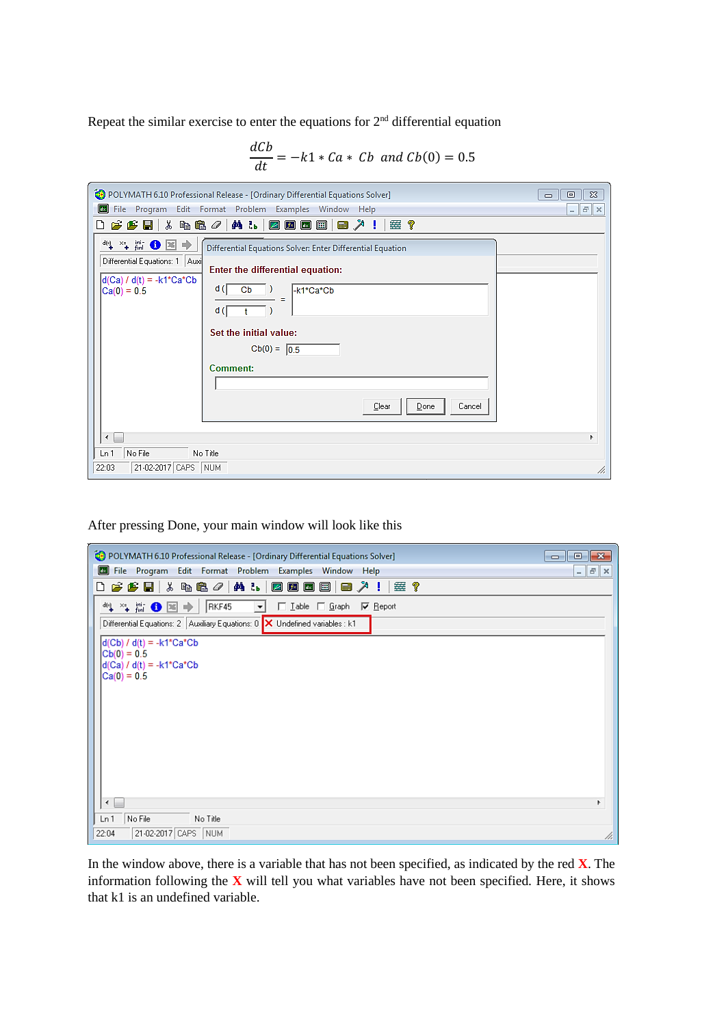Repeat the similar exercise to enter the equations for  $2<sup>nd</sup>$  differential equation

$$
\frac{dCb}{dt} = -k1 * Ca * Cb \text{ and } Cb(0) = 0.5
$$

| POLYMATH 6.10 Professional Release - [Ordinary Differential Equations Solver]<br>$\Sigma$<br>回<br>$\Box$                                                                                                                      |
|-------------------------------------------------------------------------------------------------------------------------------------------------------------------------------------------------------------------------------|
| $\vert$ dx $\vert$<br>File Program Edit Format Problem Examples Window Help<br>$F \times$<br>$\overline{a}$                                                                                                                   |
| 霊?                                                                                                                                                                                                                            |
| " * * # ● 国→<br>Differential Equations Solver: Enter Differential Equation<br>Differential Equations: 1   Auxi <br>Enter the differential equation:<br>$d(Ca) / d(t) = -k1*Ca*Cb$<br>d (l<br>Cb<br>-k1*Ca*Cb<br>$Ca(0) = 0.5$ |
| d (<br>Set the initial value:                                                                                                                                                                                                 |
| $Cb(0) = 0.5$<br><b>Comment:</b>                                                                                                                                                                                              |
| Cancel<br>Clear<br>Done<br>∢                                                                                                                                                                                                  |
| No File<br>Ln 1<br>No Title<br>21-02-2017 CAPS NUM<br>22:03<br>/ı.                                                                                                                                                            |

After pressing Done, your main window will look like this

| POLYMATH 6.10 Professional Release - [Ordinary Differential Equations Solver]<br>回<br>$\equiv$                                                                                         | $\mathbf{x}$ |
|----------------------------------------------------------------------------------------------------------------------------------------------------------------------------------------|--------------|
| u.<br>File Program<br>Edit Format Problem Examples Window<br>Help<br>E<br>$\sim$                                                                                                       | l ×          |
| $\mathcal{L}$ $\mathcal{L}$ $\mathcal{L}$ $\mathcal{L}$ $\mathcal{L}$ $\mathcal{L}$ $\mathcal{L}$ $\mathcal{L}$ $\mathcal{L}$ $\mathcal{L}$ $\mathcal{L}$<br>确认<br> @@@@ @\<br>垂?<br>ै |              |
| "↓" 第 ● 国 →<br>RKF45<br>$\Box$ Lable $\Box$ Graph<br>$\nabla$ Report<br>$\blacktriangledown$                                                                                           |              |
| Differential Equations: 2   Auxiliary Equations: 0   X Undefined variables : k1                                                                                                        |              |
| $d(Cb) / d(t) = -k1*Ca*Cb$<br>$ Cb(0) = 0.5$<br>$d(Ca) / d(t) = -k1*Ca*Cb$<br>$ Ca(0) = 0.5$                                                                                           |              |
|                                                                                                                                                                                        |              |
| No File<br>Ln <sub>1</sub><br>No Title                                                                                                                                                 |              |
| 21-02-2017 CAPS NUM<br>22:04                                                                                                                                                           | h,           |

In the window above, there is a variable that has not been specified, as indicated by the red **X**. The information following the **X** will tell you what variables have not been specified. Here, it shows that k1 is an undefined variable.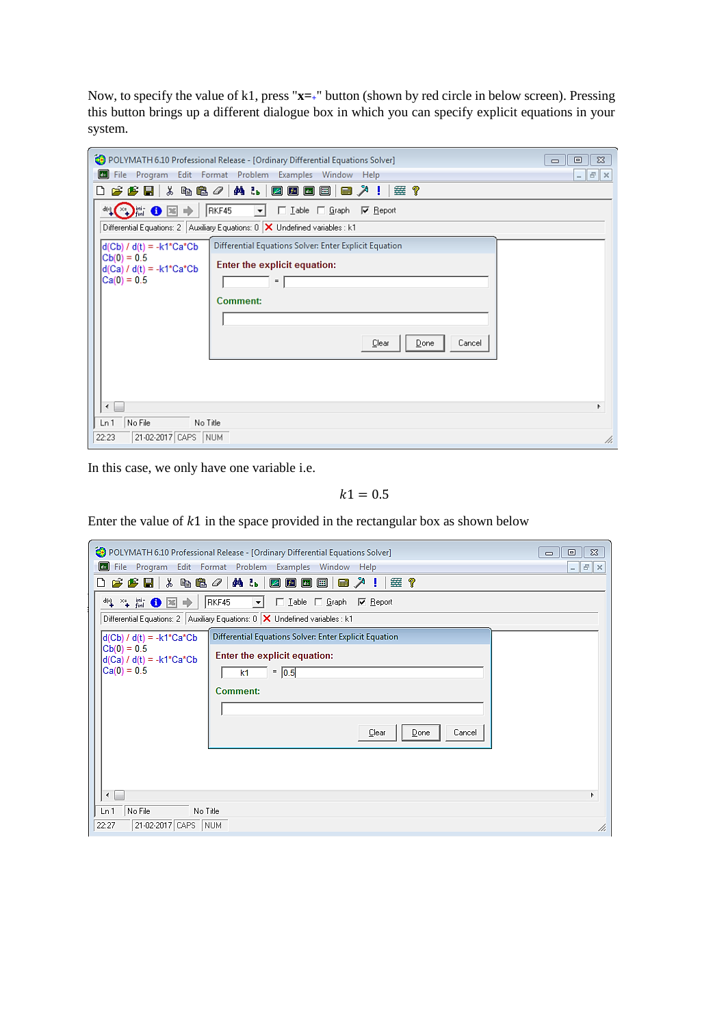Now, to specify the value of k1, press "**x=+**" button (shown by red circle in below screen). Pressing this button brings up a different dialogue box in which you can specify explicit equations in your system.

| POLYMATH 6.10 Professional Release - [Ordinary Differential Equations Solver]<br>$\Box$                       | $\Sigma$<br>回 |  |  |
|---------------------------------------------------------------------------------------------------------------|---------------|--|--|
| $\left  \frac{d}{dx} \right $<br>File Program<br>Edit Format Problem Examples Window<br>Help                  | $   \sim$     |  |  |
| ※ 4b <sup>62</sup> ∥ A & │ 20 回 回 回  <br>国义!<br>$\boldsymbol{\beta}$ $\boldsymbol{\beta}$ .<br>垂?<br>∆        |               |  |  |
| $ \cdot  \in \mathbb{E}$ of $\mathbb{E}[\cdot]$<br>RKF45<br>□ Lable □ Graph   区 Report<br>$\vert \cdot \vert$ |               |  |  |
| Differential Equations: 2   Auxiliary Equations: 0   X Undefined variables : k1                               |               |  |  |
| Differential Equations Solver: Enter Explicit Equation<br>$d(Cb) / d(t) = -k1*Ca*Cb$                          |               |  |  |
| $ Cb(0)=0.5$<br>Enter the explicit equation:<br>$d(Ca) / d(t) = -k1*Ca*Cb$                                    |               |  |  |
| $Ca(0) = 0.5$<br>$=$ $\vert$                                                                                  |               |  |  |
| Comment:                                                                                                      |               |  |  |
|                                                                                                               |               |  |  |
|                                                                                                               |               |  |  |
| Cancel<br>Clear<br>Done                                                                                       |               |  |  |
|                                                                                                               |               |  |  |
|                                                                                                               |               |  |  |
|                                                                                                               |               |  |  |
| ∢                                                                                                             |               |  |  |
| No File<br>Ln 1<br>No Title                                                                                   |               |  |  |
| 21-02-2017 CAPS NUM<br>22:23                                                                                  | h,            |  |  |

In this case, we only have one variable i.e.

 $k1 = 0.5$ 

Enter the value of  $k1$  in the space provided in the rectangular box as shown below

| POLYMATH 6.10 Professional Release - [Ordinary Differential Equations Solver]                                                                                      | $\Sigma$<br>回<br>$\qquad \qquad \Box$ |
|--------------------------------------------------------------------------------------------------------------------------------------------------------------------|---------------------------------------|
| Edit Format Problem Examples Window Help<br>File Program<br>國                                                                                                      | $ \mathbb{F}$ $\times$                |
| , 4 龟 <i>4</i>  <br><b>ALIBBBB</b><br>e e u<br>■ 2 !<br>垂?<br>ہ∟                                                                                                   |                                       |
| RKF45<br>ચ¥.₩OE<br>$\Box$ Lable $\Box$ Graph<br>$\nabla$ Report<br>₱<br>▾                                                                                          |                                       |
| Differential Equations: 2   Auxiliary Equations: 0   X Undefined variables : k1                                                                                    |                                       |
| Differential Equations Solver: Enter Explicit Equation<br>$d(Cb) / d(t) = -k1*Ca*Cb$<br>$ Cb(0)=0.5$<br>Enter the explicit equation:<br>$d(Ca) / d(t) = -k1*Ca*Cb$ |                                       |
| $Ca(0) = 0.5$<br>$=$ 0.5<br>k1<br><b>Comment:</b>                                                                                                                  |                                       |
| Cancel<br>Clear<br>Done                                                                                                                                            |                                       |
| ∢                                                                                                                                                                  |                                       |
| No File<br>No Title<br>Ln 1                                                                                                                                        |                                       |
| 21-02-2017 CAPS<br><b>NUM</b><br>22:27                                                                                                                             | h,                                    |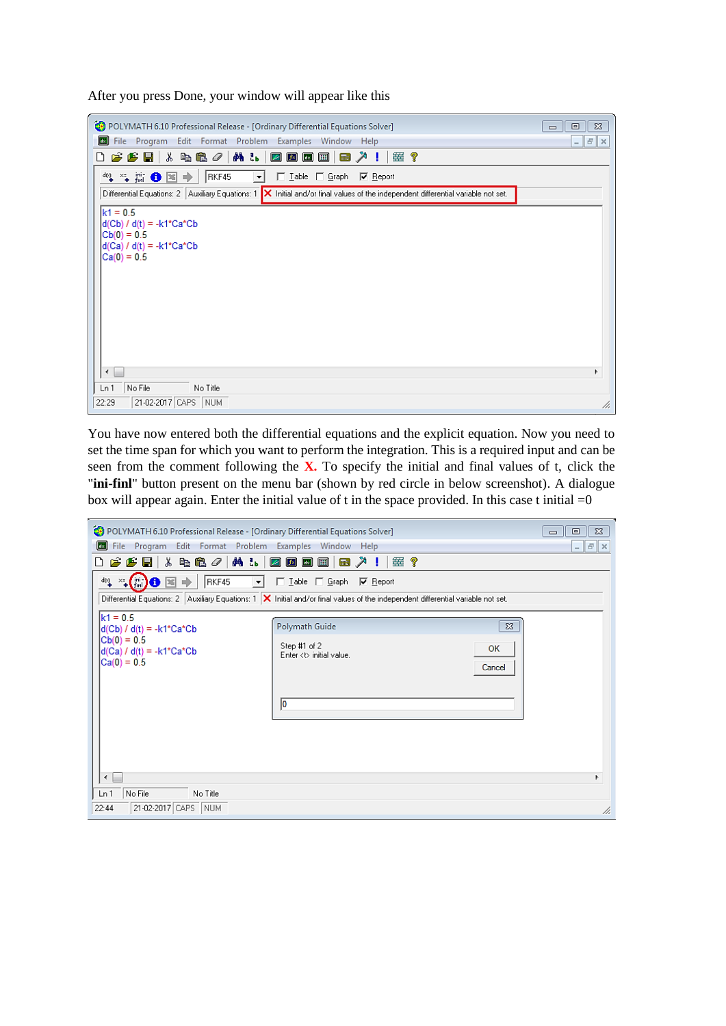After you press Done, your window will appear like this

| POLYMATH 6.10 Professional Release - [Ordinary Differential Equations Solver]                                                                            | $\Sigma$<br>回<br>$\qquad \qquad \Box$ |
|----------------------------------------------------------------------------------------------------------------------------------------------------------|---------------------------------------|
| œ<br>File Program Edit Format Problem Examples Window Help                                                                                               | $ \mathbb{F}$ $\times$                |
| ※ 4B 4 / A & / 2 回 回 回<br>$\mathcal{B} \mathcal{B}$ bit<br>■ ↗ !<br>塞?<br>D                                                                              |                                       |
| RKF45<br>ચ¥.₩OB→<br>□ Lable □ Graph □ Report<br>$\mathbf{r}$                                                                                             |                                       |
| Differential Equations: 2   Auxiliary Equations: 1 $\blacktriangleright$   Initial and/or final values of the independent differential variable not set. |                                       |
| $k1 = 0.5$<br>$d(Cb) / d(t) = -k1*Ca*Cb$<br>$ Cb(0)=0.5 $<br>$d(Ca) / d(t) = -k1*Ca*Cb$<br>$Ca(0) = 0.5$<br>∢<br>No File<br>Ln 1<br>No Title             | Þ.                                    |
| 21-02-2017 CAPS NUM<br>22:29                                                                                                                             | h,                                    |

You have now entered both the differential equations and the explicit equation. Now you need to set the time span for which you want to perform the integration. This is a required input and can be seen from the comment following the **X.** To specify the initial and final values of t, click the "**ini-finl**" button present on the menu bar (shown by red circle in below screenshot). A dialogue box will appear again. Enter the initial value of t in the space provided. In this case t initial  $=0$ 

| POLYMATH 6.10 Professional Release - [Ordinary Differential Equations Solver]<br>File Program Edit Format Problem Examples Window Help<br>$\ $ dx $\ $                                                                                                                                                                                                                            |                                                                       | $\Sigma$<br>回<br>$\Box$<br>$ \mathbb{F}$ $\mathbb{X}$ |  |
|-----------------------------------------------------------------------------------------------------------------------------------------------------------------------------------------------------------------------------------------------------------------------------------------------------------------------------------------------------------------------------------|-----------------------------------------------------------------------|-------------------------------------------------------|--|
| <b>ALDBBB</b><br>y,<br>49 B /<br>■ "!<br>霊?<br>$\boldsymbol{\beta}$ $\boldsymbol{\beta}$ di<br>n<br>$\mathbb{Z}^{\times}$ (init) $\mathbf{0}$ $\mathbb{E}$<br>嶼<br>RKF45<br>□ Lable □ Graph   区 Report<br>$\mathbf{r}$<br>₱<br>Differential Equations: 2   Auxiliary Equations: 1   X Initial and/or final values of the independent differential variable not set.<br>$k1 = 0.5$ |                                                                       |                                                       |  |
| d(Cb) / d(t) = -k1*Ca*Cb<br>$Cb(0) = 0.5$<br>$d(Ca) / d(t) = -k1*Ca*Cb$<br>$Ca(0) = 0.5$                                                                                                                                                                                                                                                                                          | Polymath Guide<br>Step #1 of 2<br>Enter <t> initial value.<br/>10</t> | $\Sigma$<br><b>OK</b><br>Cancel                       |  |
| ∢<br>r<br>No File<br>Ln 1<br>No Title<br>21-02-2017 CAPS NUM<br>22:44<br>h.                                                                                                                                                                                                                                                                                                       |                                                                       |                                                       |  |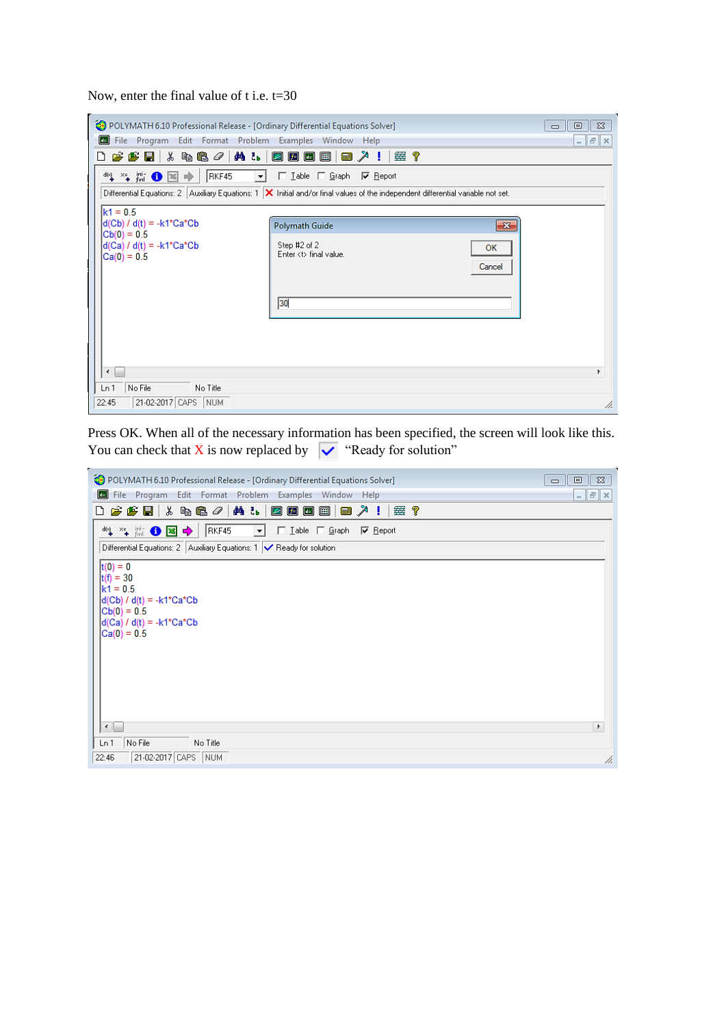Now, enter the final value of t i.e. t=30

| POLYMATH 6.10 Professional Release - [Ordinary Differential Equations Solver]<br>$\Sigma$<br>回<br>$\Box$                             |                                            |              |  |  |  |  |  |
|--------------------------------------------------------------------------------------------------------------------------------------|--------------------------------------------|--------------|--|--|--|--|--|
| Edit Format Problem Examples Window Help<br>u.<br>File Program<br>$F \times$<br>$\overline{\phantom{a}}$                             |                                            |              |  |  |  |  |  |
| ※ 4 & ∥ A & B B B B B<br>$\boldsymbol{\beta}$ $\boldsymbol{\beta}$ defined by<br>霊?<br>$\blacksquare$<br>n                           |                                            |              |  |  |  |  |  |
| 性質●図→<br>RKF45<br>□ Lable □ Graph ■ Report<br>$\mathbf{r}$                                                                           |                                            |              |  |  |  |  |  |
| Differential Equations: 2   Auxiliary Equations: 1   X Initial and/or final values of the independent differential variable not set. |                                            |              |  |  |  |  |  |
| $k1 = 0.5$                                                                                                                           |                                            |              |  |  |  |  |  |
| $ d(Cb) / d(t) = -k1+Ca^{\ast}Cb$<br>$ Cb(0)=0.5$                                                                                    | Polymath Guide                             | $\mathbf{x}$ |  |  |  |  |  |
| $d(Ca) / d(t) = -k1*Ca*Cb$<br>$ Ca(0) = 0.5$                                                                                         | Step #2 of 2<br>Enter <t> final value.</t> | OK<br>Cancel |  |  |  |  |  |
| 30                                                                                                                                   |                                            |              |  |  |  |  |  |
|                                                                                                                                      |                                            |              |  |  |  |  |  |
| r                                                                                                                                    |                                            |              |  |  |  |  |  |
| No File<br>No Title<br>Ln 1                                                                                                          |                                            |              |  |  |  |  |  |
| 21-02-2017 CAPS NUM<br>22:45<br>h,                                                                                                   |                                            |              |  |  |  |  |  |

Press OK. When all of the necessary information has been specified, the screen will look like this. You can check that X is now replaced by  $\sqrt{\sqrt{\ }}$  "Ready for solution"

| POLYMATH 6.10 Professional Release - [Ordinary Differential Equations Solver]<br>$\Sigma$<br>回<br>$\qquad \qquad \Box$                                                |             |  |  |  |  |
|-----------------------------------------------------------------------------------------------------------------------------------------------------------------------|-------------|--|--|--|--|
| File Program Edit Format Problem Examples Window Help                                                                                                                 | $ F \times$ |  |  |  |  |
| $\mathcal{L}(\mathcal{L}(\mathbb{R}))=\mathcal{L}(\mathbb{R})$ . $\mathcal{L}(\mathbb{R})=\mathbb{R}$ . The contribution of $\mathcal{L}(\mathbb{R})$<br>靈?<br>D      |             |  |  |  |  |
| $^{\frac{46}{11}}$ $^{\frac{26}{110}}$ $^{\frac{26}{110}}$ $^{\frac{26}{110}}$ $^{\frac{26}{110}}$<br>RKF45<br>□ Lable □ Graph   区 Report<br>$\vert \mathbf{v} \vert$ |             |  |  |  |  |
| Differential Equations: 2   Auxiliary Equations: 1   Beady for solution                                                                                               |             |  |  |  |  |
| $ t(0) = 0$<br>$ t(f) = 30$<br>$k1 = 0.5$<br> d(Cb) / d(t) = -k1*Ca*Cb<br>$ Cb(0)=0.5$<br> d(Ca) / d(t) = -k1*Ca*Cb<br>$Ca(0) = 0.5$<br>$\leftarrow$<br>$\,$ $\,$     |             |  |  |  |  |
|                                                                                                                                                                       |             |  |  |  |  |
| No File<br>Ln 1<br>No Title                                                                                                                                           |             |  |  |  |  |
| 21-02-2017 CAPS NUM<br>22:46                                                                                                                                          | /ı.         |  |  |  |  |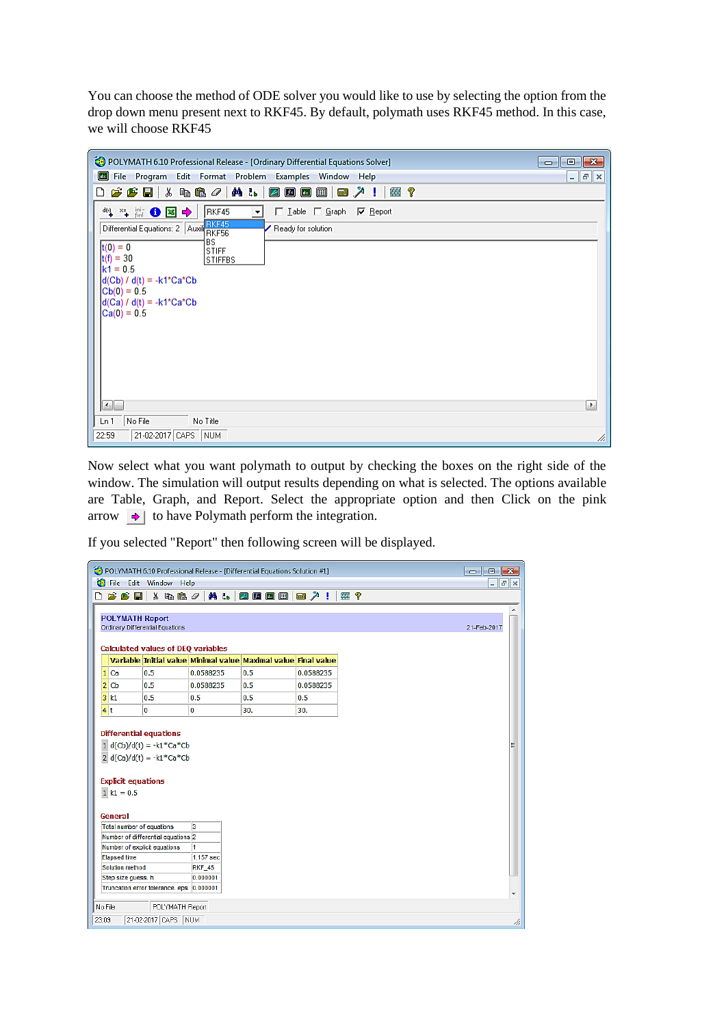You can choose the method of ODE solver you would like to use by selecting the option from the drop down menu present next to RKF45. By default, polymath uses RKF45 method. In this case, we will choose RKF45

| File Program Edit Format Problem Examples Window Help<br>$ \mathbf{F}$ $\times$<br><b>FFH</b> & & & / A & <b>BBB B &amp;</b> / !<br>靈?<br>D<br>□ Lable □ Graph   区 Beport<br>RKF45<br>▾<br>Differential Equations: 2 Auxil BKF45<br>Ready for solution<br><b>BS</b><br>$ t(0) = 0$<br><b>STIFF</b><br>$ t(f) = 30$<br><b>STIFFBS</b><br>$k1 = 0.5$<br>$d(Cb) / d(t) = -k1*Ca*Cb$<br>$ Cb(0) = 0.5$<br>$d(Ca) / d(t) = -k1+Ca^*Cb$<br>$ Ca(0) = 0.5$<br>$\left  \cdot \right $<br>P.<br>No File<br>Ln 1<br>No Title | POLYMATH 6.10 Professional Release - [Ordinary Differential Equations Solver]<br>$\mathbf{x}$<br>I o<br>$\Box$ |  |  |  |  |  |
|--------------------------------------------------------------------------------------------------------------------------------------------------------------------------------------------------------------------------------------------------------------------------------------------------------------------------------------------------------------------------------------------------------------------------------------------------------------------------------------------------------------------|----------------------------------------------------------------------------------------------------------------|--|--|--|--|--|
|                                                                                                                                                                                                                                                                                                                                                                                                                                                                                                                    |                                                                                                                |  |  |  |  |  |
|                                                                                                                                                                                                                                                                                                                                                                                                                                                                                                                    |                                                                                                                |  |  |  |  |  |
|                                                                                                                                                                                                                                                                                                                                                                                                                                                                                                                    |                                                                                                                |  |  |  |  |  |
|                                                                                                                                                                                                                                                                                                                                                                                                                                                                                                                    |                                                                                                                |  |  |  |  |  |
| 21-02-2017 CAPS NUM<br>22:59<br>h.                                                                                                                                                                                                                                                                                                                                                                                                                                                                                 |                                                                                                                |  |  |  |  |  |

Now select what you want polymath to output by checking the boxes on the right side of the window. The simulation will output results depending on what is selected. The options available are Table, Graph, and Report. Select the appropriate option and then Click on the pink arrow  $\rightarrow$  to have Polymath perform the integration.

If you selected "Report" then following screen will be displayed.

|                                                                                                                   | <b>B</b> File<br>Edit<br>口房房間<br><b>POLYMATH Report</b> | Window<br>Help<br>3. 电离夕                  | <b>纳品</b>     |                                                                |           |  |  |
|-------------------------------------------------------------------------------------------------------------------|---------------------------------------------------------|-------------------------------------------|---------------|----------------------------------------------------------------|-----------|--|--|
|                                                                                                                   |                                                         |                                           |               |                                                                |           |  |  |
|                                                                                                                   |                                                         |                                           |               | 26回日                                                           | ■ 人目      |  |  |
|                                                                                                                   |                                                         |                                           |               |                                                                |           |  |  |
|                                                                                                                   |                                                         |                                           |               |                                                                |           |  |  |
|                                                                                                                   | Ordinary Differential Equations<br>21-Feb-2017          |                                           |               |                                                                |           |  |  |
|                                                                                                                   |                                                         | <b>Calculated values of DEQ variables</b> |               |                                                                |           |  |  |
|                                                                                                                   |                                                         |                                           |               | Variable Initial value Minimal value Maximal value Final value |           |  |  |
|                                                                                                                   | 1 Ca                                                    | 0.5                                       | 0.0588235     | 0.5                                                            | 0.0588235 |  |  |
|                                                                                                                   | 2  <sub>cb</sub>                                        | 0.5                                       | 0.0588235     | 0.5                                                            | 0.0588235 |  |  |
|                                                                                                                   | $3$ $k1$                                                | 0.5                                       | 0.5           | 0.5                                                            | 0.5       |  |  |
|                                                                                                                   | 4 t                                                     | $\bf{0}$                                  | 0             | 30.                                                            | 30.       |  |  |
|                                                                                                                   |                                                         |                                           |               |                                                                |           |  |  |
|                                                                                                                   |                                                         | <b>Differential equations</b>             |               |                                                                |           |  |  |
| 1 $d(Cb)/d(t) = -k1$ <sup>*</sup> Ca <sup>*</sup> Cb<br>Ξ<br>2 $d(Ca)/d(t) = -k1$ <sup>*</sup> Ca <sup>*</sup> Cb |                                                         |                                           |               |                                                                |           |  |  |
|                                                                                                                   |                                                         |                                           |               |                                                                |           |  |  |
|                                                                                                                   | <b>Explicit equations</b>                               |                                           |               |                                                                |           |  |  |
|                                                                                                                   | $1 k1 = 0.5$                                            |                                           |               |                                                                |           |  |  |
|                                                                                                                   |                                                         |                                           |               |                                                                |           |  |  |
|                                                                                                                   | General                                                 |                                           |               |                                                                |           |  |  |
|                                                                                                                   | Total number of equations                               |                                           | 3             |                                                                |           |  |  |
| Number of differential equations 2                                                                                |                                                         |                                           |               |                                                                |           |  |  |
| Number of explicit equations<br>1                                                                                 |                                                         |                                           |               |                                                                |           |  |  |
|                                                                                                                   | <b>Elapsed time</b>                                     |                                           | 1.157 sec     |                                                                |           |  |  |
|                                                                                                                   | Solution method                                         |                                           | <b>RKF_45</b> |                                                                |           |  |  |
|                                                                                                                   | Step size guess. h                                      |                                           | 0.000001      |                                                                |           |  |  |
| Truncation error tolerance, eps<br>0.000001<br>٠                                                                  |                                                         |                                           |               |                                                                |           |  |  |
| No File<br>POLYMATH Report                                                                                        |                                                         |                                           |               |                                                                |           |  |  |
| 23:09                                                                                                             |                                                         | 21-02-2017 CAPS NUM                       |               |                                                                |           |  |  |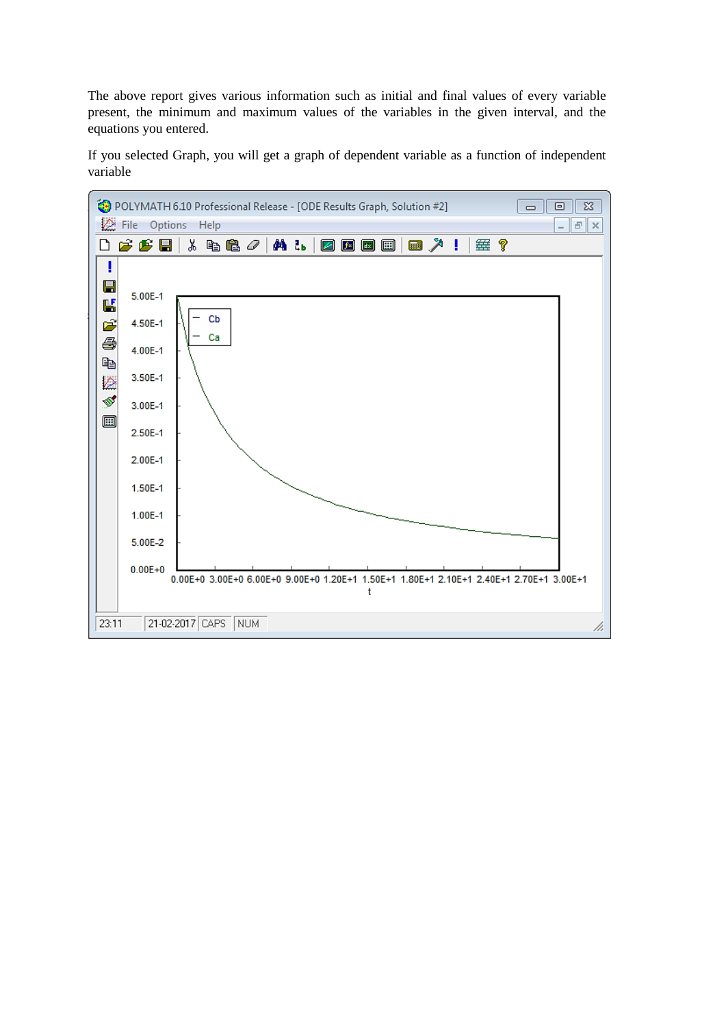The above report gives various information such as initial and final values of every variable present, the minimum and maximum values of the variables in the given interval, and the equations you entered.

If you selected Graph, you will get a graph of dependent variable as a function of independent variable